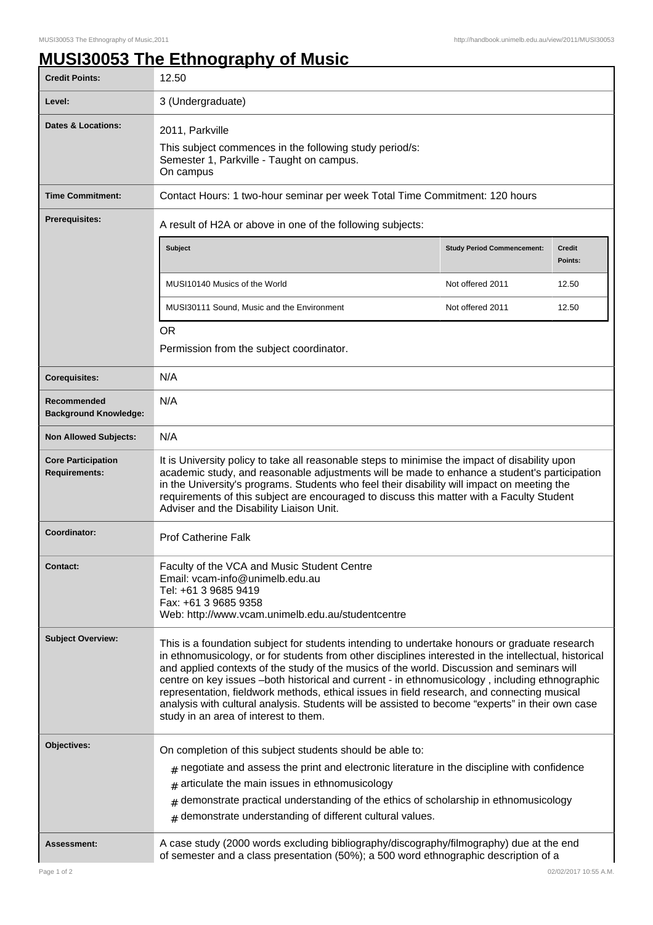## **MUSI30053 The Ethnography of Music**

| <b>Credit Points:</b>                             | 12.50                                                                                                                                                                                                                                                                                                                                                                                                                                                                                                                                                                                                                                              |                                   |                   |  |
|---------------------------------------------------|----------------------------------------------------------------------------------------------------------------------------------------------------------------------------------------------------------------------------------------------------------------------------------------------------------------------------------------------------------------------------------------------------------------------------------------------------------------------------------------------------------------------------------------------------------------------------------------------------------------------------------------------------|-----------------------------------|-------------------|--|
| Level:                                            | 3 (Undergraduate)                                                                                                                                                                                                                                                                                                                                                                                                                                                                                                                                                                                                                                  |                                   |                   |  |
| <b>Dates &amp; Locations:</b>                     | 2011, Parkville<br>This subject commences in the following study period/s:<br>Semester 1, Parkville - Taught on campus.<br>On campus                                                                                                                                                                                                                                                                                                                                                                                                                                                                                                               |                                   |                   |  |
| <b>Time Commitment:</b>                           | Contact Hours: 1 two-hour seminar per week Total Time Commitment: 120 hours                                                                                                                                                                                                                                                                                                                                                                                                                                                                                                                                                                        |                                   |                   |  |
| <b>Prerequisites:</b>                             | A result of H2A or above in one of the following subjects:                                                                                                                                                                                                                                                                                                                                                                                                                                                                                                                                                                                         |                                   |                   |  |
|                                                   | Subject                                                                                                                                                                                                                                                                                                                                                                                                                                                                                                                                                                                                                                            | <b>Study Period Commencement:</b> | Credit<br>Points: |  |
|                                                   | MUSI10140 Musics of the World                                                                                                                                                                                                                                                                                                                                                                                                                                                                                                                                                                                                                      | Not offered 2011                  | 12.50             |  |
|                                                   | MUSI30111 Sound, Music and the Environment                                                                                                                                                                                                                                                                                                                                                                                                                                                                                                                                                                                                         | Not offered 2011                  | 12.50             |  |
|                                                   | <b>OR</b>                                                                                                                                                                                                                                                                                                                                                                                                                                                                                                                                                                                                                                          |                                   |                   |  |
|                                                   | Permission from the subject coordinator.                                                                                                                                                                                                                                                                                                                                                                                                                                                                                                                                                                                                           |                                   |                   |  |
| <b>Corequisites:</b>                              | N/A                                                                                                                                                                                                                                                                                                                                                                                                                                                                                                                                                                                                                                                |                                   |                   |  |
| Recommended<br><b>Background Knowledge:</b>       | N/A                                                                                                                                                                                                                                                                                                                                                                                                                                                                                                                                                                                                                                                |                                   |                   |  |
| <b>Non Allowed Subjects:</b>                      | N/A                                                                                                                                                                                                                                                                                                                                                                                                                                                                                                                                                                                                                                                |                                   |                   |  |
| <b>Core Participation</b><br><b>Requirements:</b> | It is University policy to take all reasonable steps to minimise the impact of disability upon<br>academic study, and reasonable adjustments will be made to enhance a student's participation<br>in the University's programs. Students who feel their disability will impact on meeting the<br>requirements of this subject are encouraged to discuss this matter with a Faculty Student<br>Adviser and the Disability Liaison Unit.                                                                                                                                                                                                             |                                   |                   |  |
| Coordinator:                                      | <b>Prof Catherine Falk</b>                                                                                                                                                                                                                                                                                                                                                                                                                                                                                                                                                                                                                         |                                   |                   |  |
| <b>Contact:</b>                                   | Faculty of the VCA and Music Student Centre<br>Email: vcam-info@unimelb.edu.au<br>Tel: +61 3 9685 9419<br>Fax: +61 3 9685 9358<br>Web: http://www.vcam.unimelb.edu.au/studentcentre                                                                                                                                                                                                                                                                                                                                                                                                                                                                |                                   |                   |  |
| <b>Subject Overview:</b>                          | This is a foundation subject for students intending to undertake honours or graduate research<br>in ethnomusicology, or for students from other disciplines interested in the intellectual, historical<br>and applied contexts of the study of the musics of the world. Discussion and seminars will<br>centre on key issues -both historical and current - in ethnomusicology, including ethnographic<br>representation, fieldwork methods, ethical issues in field research, and connecting musical<br>analysis with cultural analysis. Students will be assisted to become "experts" in their own case<br>study in an area of interest to them. |                                   |                   |  |
| Objectives:                                       | On completion of this subject students should be able to:                                                                                                                                                                                                                                                                                                                                                                                                                                                                                                                                                                                          |                                   |                   |  |
|                                                   | $_{\#}$ negotiate and assess the print and electronic literature in the discipline with confidence                                                                                                                                                                                                                                                                                                                                                                                                                                                                                                                                                 |                                   |                   |  |
|                                                   | articulate the main issues in ethnomusicology<br>#                                                                                                                                                                                                                                                                                                                                                                                                                                                                                                                                                                                                 |                                   |                   |  |
|                                                   | demonstrate practical understanding of the ethics of scholarship in ethnomusicology<br>#<br>$#$ demonstrate understanding of different cultural values.                                                                                                                                                                                                                                                                                                                                                                                                                                                                                            |                                   |                   |  |
| Assessment:                                       | A case study (2000 words excluding bibliography/discography/filmography) due at the end<br>of semester and a class presentation (50%); a 500 word ethnographic description of a                                                                                                                                                                                                                                                                                                                                                                                                                                                                    |                                   |                   |  |